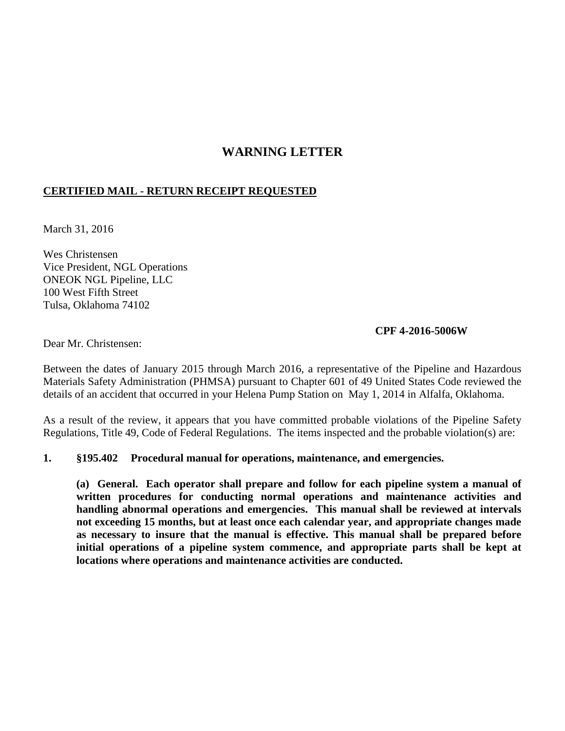# **WARNING LETTER**

# **CERTIFIED MAIL - RETURN RECEIPT REQUESTED**

March 31, 2016

Wes Christensen Vice President, NGL Operations ONEOK NGL Pipeline, LLC 100 West Fifth Street Tulsa, Oklahoma 74102

#### **CPF 4-2016-5006W**

Dear Mr. Christensen:

Between the dates of January 2015 through March 2016, a representative of the Pipeline and Hazardous Materials Safety Administration (PHMSA) pursuant to Chapter 601 of 49 United States Code reviewed the details of an accident that occurred in your Helena Pump Station on May 1, 2014 in Alfalfa, Oklahoma.

As a result of the review, it appears that you have committed probable violations of the Pipeline Safety Regulations, Title 49, Code of Federal Regulations. The items inspected and the probable violation(s) are:

#### **1. §195.402 Procedural manual for operations, maintenance, and emergencies.**

**(a) General. Each operator shall prepare and follow for each pipeline system a manual of written procedures for conducting normal operations and maintenance activities and handling abnormal operations and emergencies. This manual shall be reviewed at intervals not exceeding 15 months, but at least once each calendar year, and appropriate changes made as necessary to insure that the manual is effective. This manual shall be prepared before initial operations of a pipeline system commence, and appropriate parts shall be kept at locations where operations and maintenance activities are conducted.**